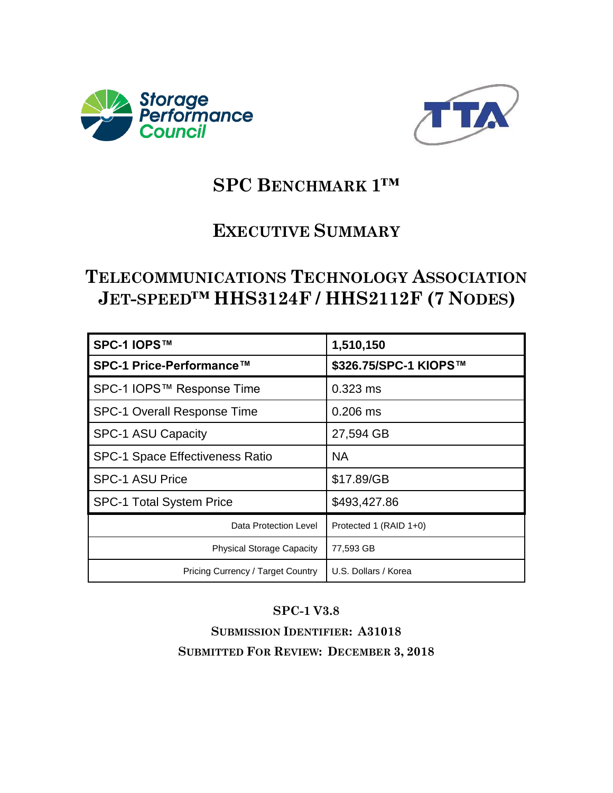



# **SPC BENCHMARK 1™**

# **EXECUTIVE SUMMARY**

# **TELECOMMUNICATIONS TECHNOLOGY ASSOCIATION JET-SPEED™ HHS3124F / HHS2112F (7 NODES)**

| SPC-1 IOPS™                            | 1,510,150              |
|----------------------------------------|------------------------|
| SPC-1 Price-Performance™               | \$326.75/SPC-1 KIOPS™  |
| SPC-1 IOPS™ Response Time              | $0.323$ ms             |
| SPC-1 Overall Response Time            | $0.206$ ms             |
| <b>SPC-1 ASU Capacity</b>              | 27,594 GB              |
| <b>SPC-1 Space Effectiveness Ratio</b> | NA.                    |
| <b>SPC-1 ASU Price</b>                 | \$17.89/GB             |
| <b>SPC-1 Total System Price</b>        | \$493,427.86           |
| Data Protection Level                  | Protected 1 (RAID 1+0) |
| <b>Physical Storage Capacity</b>       | 77,593 GB              |
| Pricing Currency / Target Country      | U.S. Dollars / Korea   |

### **SPC-1 V3.8**

**SUBMISSION IDENTIFIER: A31018 SUBMITTED FOR REVIEW: DECEMBER 3, 2018**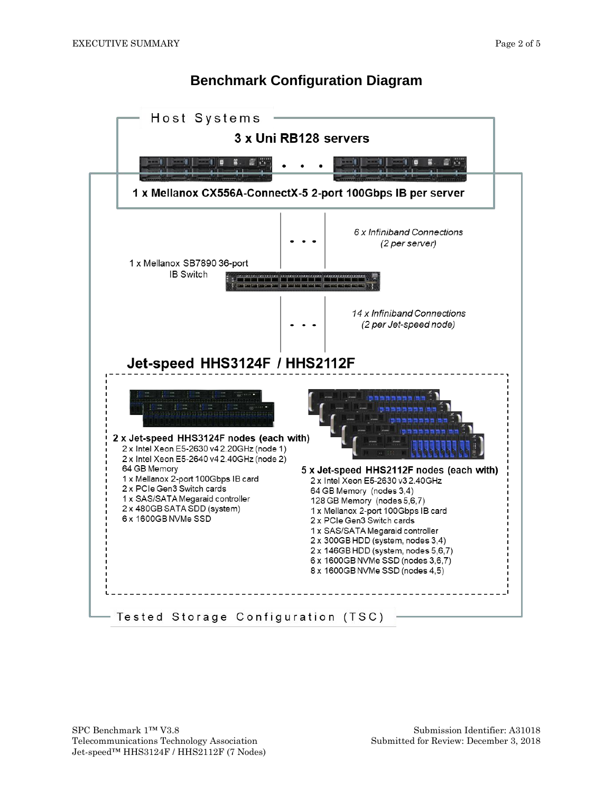### **Benchmark Configuration Diagram**

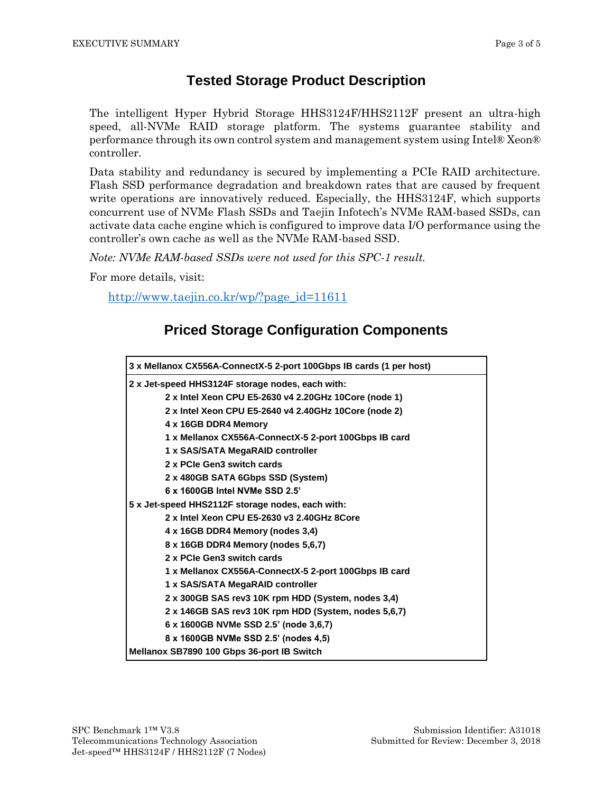#### **Tested Storage Product Description**

The intelligent Hyper Hybrid Storage HHS3124F/HHS2112F present an ultra-high speed, all-NVMe RAID storage platform. The systems guarantee stability and performance through its own control system and management system using Intel® Xeon® controller.

Data stability and redundancy is secured by implementing a PCIe RAID architecture. Flash SSD performance degradation and breakdown rates that are caused by frequent write operations are innovatively reduced. Especially, the HHS3124F, which supports concurrent use of NVMe Flash SSDs and Taejin Infotech's NVMe RAM-based SSDs, can activate data cache engine which is configured to improve data I/O performance using the controller's own cache as well as the NVMe RAM-based SSD.

*Note: NVMe RAM-based SSDs were not used for this SPC-1 result.*

For more details, visit:

[http://www.taejin.co.kr/wp/?page\\_id=11611](http://www.taejin.co.kr/wp/?page_id=11611)

### **Priced Storage Configuration Components**

| 3 x Mellanox CX556A-ConnectX-5 2-port 100Gbps IB cards (1 per host) |  |  |
|---------------------------------------------------------------------|--|--|
| 2 x Jet-speed HHS3124F storage nodes, each with:                    |  |  |
| 2 x Intel Xeon CPU E5-2630 v4 2.20GHz 10Core (node 1)               |  |  |
| 2 x Intel Xeon CPU E5-2640 v4 2.40GHz 10Core (node 2)               |  |  |
| 4 x 16GB DDR4 Memory                                                |  |  |
| 1 x Mellanox CX556A-ConnectX-5 2-port 100Gbps IB card               |  |  |
| 1 x SAS/SATA MegaRAID controller                                    |  |  |
| 2 x PCIe Gen3 switch cards                                          |  |  |
| 2 x 480GB SATA 6Gbps SSD (System)                                   |  |  |
| 6 x 1600GB Intel NVMe SSD 2.5'                                      |  |  |
| 5 x Jet-speed HHS2112F storage nodes, each with:                    |  |  |
| 2 x Intel Xeon CPU E5-2630 v3 2.40GHz 8Core                         |  |  |
| 4 x 16GB DDR4 Memory (nodes 3,4)                                    |  |  |
| 8 x 16GB DDR4 Memory (nodes 5,6,7)                                  |  |  |
| 2 x PCIe Gen3 switch cards                                          |  |  |
| 1 x Mellanox CX556A-ConnectX-5 2-port 100Gbps IB card               |  |  |
| 1 x SAS/SATA MegaRAID controller                                    |  |  |
| 2 x 300GB SAS rev3 10K rpm HDD (System, nodes 3,4)                  |  |  |
| 2 x 146GB SAS rev3 10K rpm HDD (System, nodes 5,6,7)                |  |  |
| 6 x 1600GB NVMe SSD 2.5' (node 3,6,7)                               |  |  |
| 8 x 1600GB NVMe SSD 2.5' (nodes 4,5)                                |  |  |
| Mellanox SB7890 100 Gbps 36-port IB Switch                          |  |  |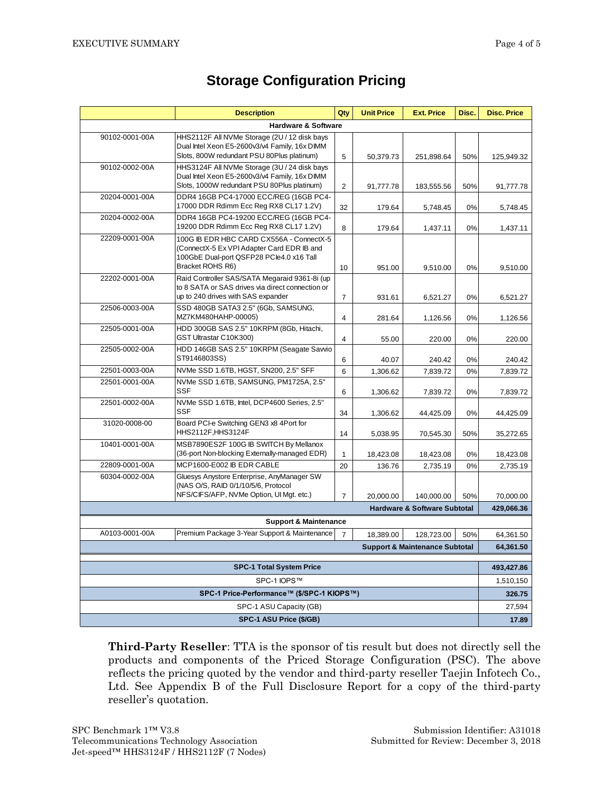|                                            | <b>Description</b>                                                                          | Qty            | <b>Unit Price</b> | <b>Ext. Price</b> | Disc.      | <b>Disc. Price</b>      |
|--------------------------------------------|---------------------------------------------------------------------------------------------|----------------|-------------------|-------------------|------------|-------------------------|
| <b>Hardware &amp; Software</b>             |                                                                                             |                |                   |                   |            |                         |
| 90102-0001-00A                             | HHS2112F All NVMe Storage (2U / 12 disk bays                                                |                |                   |                   |            |                         |
|                                            | Dual Intel Xeon E5-2600v3/v4 Family, 16x DIMM<br>Slots, 800W redundant PSU 80Plus platinum) | 5              | 50,379.73         | 251,898.64        | 50%        | 125,949.32              |
| 90102-0002-00A                             | HHS3124F All NVMe Storage (3U / 24 disk bays                                                |                |                   |                   |            |                         |
|                                            | Dual Intel Xeon E5-2600v3/v4 Family, 16x DIMM                                               |                |                   |                   |            |                         |
| 20204-0001-00A                             | Slots, 1000W redundant PSU 80Plus platinum)<br>DDR4 16GB PC4-17000 ECC/REG (16GB PC4-       | 2              | 91,777.78         | 183,555.56        | 50%        | 91,777.78               |
|                                            | 17000 DDR Rdimm Ecc Reg RX8 CL17 1.2V)                                                      | 32             | 179.64            | 5,748.45          | 0%         | 5,748.45                |
| 20204-0002-00A                             | DDR4 16GB PC4-19200 ECC/REG (16GB PC4-<br>19200 DDR Rdimm Ecc Reg RX8 CL17 1.2V)            | 8              | 179.64            | 1,437.11          | 0%         | 1,437.11                |
| 22209-0001-00A                             | 100G IB EDR HBC CARD CX556A - ConnectX-5<br>(ConnectX-5 Ex VPI Adapter Card EDR IB and      |                |                   |                   |            |                         |
|                                            | 100GbE Dual-port QSFP28 PCle4.0 x16 Tall<br>Bracket ROHS R6)                                | 10             | 951.00            | 9,510.00          | 0%         | 9,510.00                |
| 22202-0001-00A                             | Raid Controller SAS/SATA Megaraid 9361-8i (up                                               |                |                   |                   |            |                         |
|                                            | to 8 SATA or SAS drives via direct connection or<br>up to 240 drives with SAS expander      | $\overline{7}$ | 931.61            | 6,521.27          | 0%         | 6,521.27                |
| 22506-0003-00A                             | SSD 480GB SATA3 2.5" (6Gb, SAMSUNG,<br>MZ7KM480HAHP-00005)                                  | $\overline{4}$ | 281.64            | 1,126.56          | 0%         | 1,126.56                |
| 22505-0001-00A                             | HDD 300GB SAS 2.5" 10KRPM (8Gb, Hitachi,<br>GST Ultrastar C10K300)                          | $\overline{4}$ | 55.00             | 220.00            | 0%         | 220.00                  |
| 22505-0002-00A                             | HDD 146GB SAS 2.5" 10KRPM (Seagate Sawio                                                    |                |                   |                   |            |                         |
| 22501-0003-00A                             | ST9146803SS)<br>NVMe SSD 1.6TB, HGST, SN200, 2.5" SFF                                       | 6              | 40.07             | 240.42            | 0%         | 240.42                  |
| 22501-0001-00A                             | NVMe SSD 1.6TB, SAMSUNG, PM1725A, 2.5"                                                      | 6              | 1,306.62          | 7,839.72          | 0%         | 7,839.72                |
|                                            | <b>SSF</b>                                                                                  | 6              | 1,306.62          | 7,839.72          | 0%         | 7,839.72                |
| 22501-0002-00A                             | NVMe SSD 1.6TB, Intel, DCP4600 Series, 2.5"                                                 |                |                   |                   |            |                         |
|                                            | <b>SSF</b>                                                                                  | 34             | 1,306.62          | 44,425.09         | 0%         | 44,425.09               |
| 31020-0008-00                              | Board PCI-e Switching GEN3 x8 4Port for<br>HHS2112F, HHS3124F                               | 14             | 5,038.95          | 70,545.30         | 50%        | 35,272.65               |
| 10401-0001-00A                             | MSB7890ES2F 100G IB SWITCH By Mellanox<br>(36-port Non-blocking Externally-managed EDR)     | $\mathbf{1}$   | 18,423.08         | 18,423.08         | 0%         | 18,423.08               |
| 22809-0001-00A                             | MCP1600-E002 IB EDR CABLE                                                                   | 20             | 136.76            | 2,735.19          | 0%         | 2,735.19                |
| 60304-0002-00A                             | Gluesys Anystore Enterprise, AnyManager SW<br>(NAS O/S, RAID 0/1/10/5/6, Protocol           |                |                   |                   |            |                         |
|                                            | NFS/CIFS/AFP, NVMe Option, UI Mgt. etc.)                                                    | $\overline{7}$ | 20,000.00         | 140,000.00        | 50%        | 70,000.00<br>429,066.36 |
| <b>Hardware &amp; Software Subtotal</b>    |                                                                                             |                |                   |                   |            |                         |
| A0103-0001-00A                             | <b>Support &amp; Maintenance</b><br>Premium Package 3-Year Support & Maintenance            |                |                   |                   |            |                         |
|                                            |                                                                                             | $\overline{7}$ | 18,389.00         | 128,723.00        | 50%        | 64,361.50<br>64,361.50  |
| <b>Support &amp; Maintenance Subtotal</b>  |                                                                                             |                |                   |                   |            |                         |
| <b>SPC-1 Total System Price</b>            |                                                                                             |                |                   |                   | 493,427.86 |                         |
| SPC-1 IOPS™                                |                                                                                             |                |                   |                   | 1,510,150  |                         |
| SPC-1 Price-Performance™ (\$/SPC-1 KIOPS™) |                                                                                             |                |                   |                   | 326.75     |                         |
| SPC-1 ASU Capacity (GB)                    |                                                                                             |                |                   | 27,594            |            |                         |
| SPC-1 ASU Price (\$/GB)                    |                                                                                             |                |                   |                   | 17.89      |                         |

## **Storage Configuration Pricing**

**Third-Party Reseller**: TTA is the sponsor of tis result but does not directly sell the products and components of the Priced Storage Configuration (PSC). The above reflects the pricing quoted by the vendor and third-party reseller Taejin Infotech Co., Ltd. See Appendix B of the Full Disclosure Report for a copy of the third-party reseller's quotation.